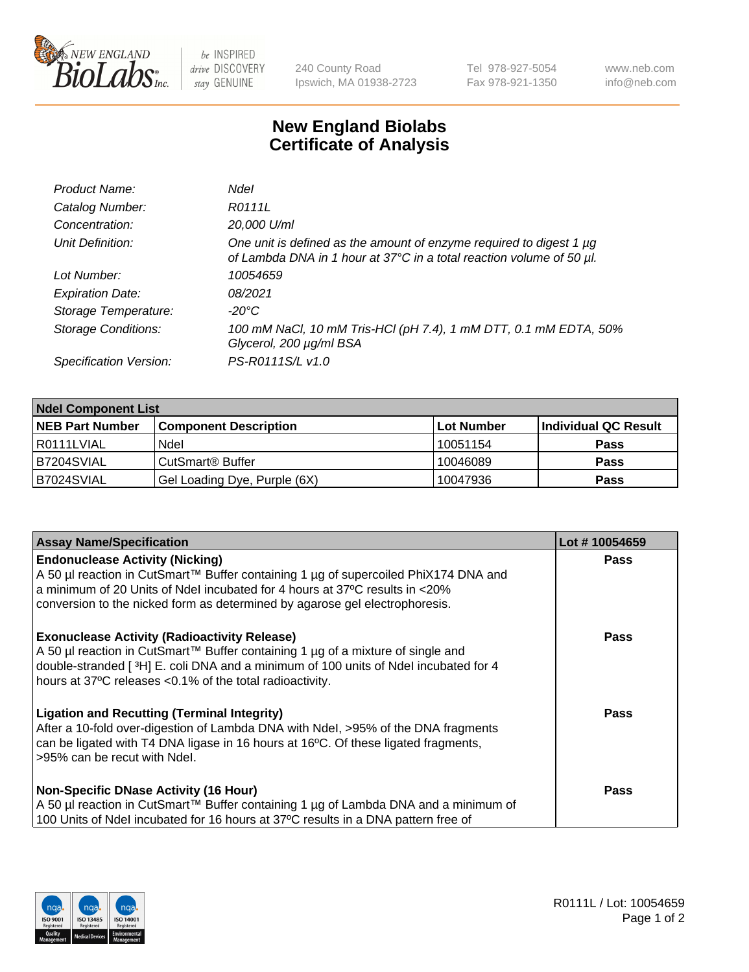

 $be$  INSPIRED drive DISCOVERY stay GENUINE

240 County Road Ipswich, MA 01938-2723 Tel 978-927-5054 Fax 978-921-1350 www.neb.com info@neb.com

## **New England Biolabs Certificate of Analysis**

| Product Name:              | <b>Ndel</b>                                                                                                                                      |
|----------------------------|--------------------------------------------------------------------------------------------------------------------------------------------------|
| Catalog Number:            | R0111L                                                                                                                                           |
| Concentration:             | 20,000 U/ml                                                                                                                                      |
| Unit Definition:           | One unit is defined as the amount of enzyme required to digest 1 $\mu$ g<br>of Lambda DNA in 1 hour at 37°C in a total reaction volume of 50 µl. |
| Lot Number:                | 10054659                                                                                                                                         |
| <b>Expiration Date:</b>    | 08/2021                                                                                                                                          |
| Storage Temperature:       | -20°C                                                                                                                                            |
| <b>Storage Conditions:</b> | 100 mM NaCl, 10 mM Tris-HCl (pH 7.4), 1 mM DTT, 0.1 mM EDTA, 50%<br>Glycerol, 200 µg/ml BSA                                                      |
| Specification Version:     | PS-R0111S/L v1.0                                                                                                                                 |

| <b>Ndel Component List</b> |                              |            |                      |  |
|----------------------------|------------------------------|------------|----------------------|--|
| <b>NEB Part Number</b>     | <b>Component Description</b> | Lot Number | Individual QC Result |  |
| I R0111LVIAL               | Ndel                         | 10051154   | <b>Pass</b>          |  |
| IB7204SVIAL                | CutSmart <sup>®</sup> Buffer | 10046089   | <b>Pass</b>          |  |
| B7024SVIAL                 | Gel Loading Dye, Purple (6X) | 10047936   | <b>Pass</b>          |  |

| <b>Assay Name/Specification</b>                                                                                                                                                                                                                                                             | Lot #10054659 |
|---------------------------------------------------------------------------------------------------------------------------------------------------------------------------------------------------------------------------------------------------------------------------------------------|---------------|
| <b>Endonuclease Activity (Nicking)</b><br>A 50 µl reaction in CutSmart™ Buffer containing 1 µg of supercoiled PhiX174 DNA and                                                                                                                                                               | <b>Pass</b>   |
| a minimum of 20 Units of Ndel incubated for 4 hours at 37°C results in <20%<br>conversion to the nicked form as determined by agarose gel electrophoresis.                                                                                                                                  |               |
| <b>Exonuclease Activity (Radioactivity Release)</b><br>  A 50 µl reaction in CutSmart™ Buffer containing 1 µg of a mixture of single and<br>double-stranded [3H] E. coli DNA and a minimum of 100 units of Ndel incubated for 4<br>hours at 37°C releases <0.1% of the total radioactivity. | Pass          |
| <b>Ligation and Recutting (Terminal Integrity)</b><br>After a 10-fold over-digestion of Lambda DNA with Ndel, >95% of the DNA fragments<br>can be ligated with T4 DNA ligase in 16 hours at 16 $\degree$ C. Of these ligated fragments,<br>l >95% can be recut with Ndel.                   | Pass          |
| <b>Non-Specific DNase Activity (16 Hour)</b><br>A 50 µl reaction in CutSmart™ Buffer containing 1 µg of Lambda DNA and a minimum of                                                                                                                                                         | Pass          |
| 100 Units of Ndel incubated for 16 hours at 37°C results in a DNA pattern free of                                                                                                                                                                                                           |               |